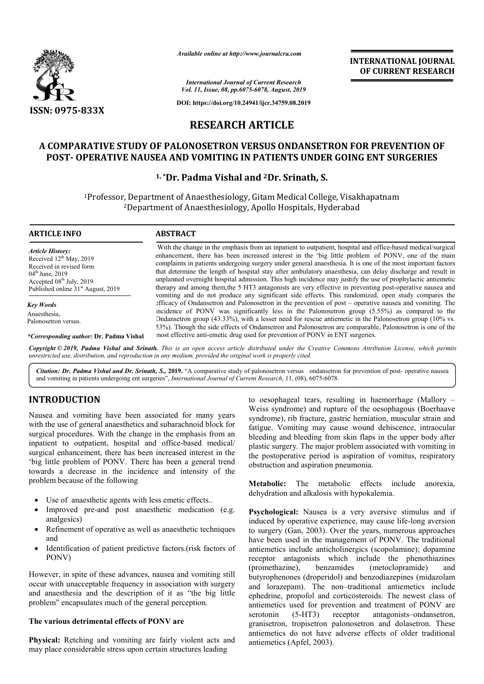

*Available online at http://www.journalcra.com*

**INTERNATIONAL JOURNAL OF CURRENT RESEARCH**

*International Journal of Current Research Vol. 11, Issue, 08, pp.6075-6078, August, 2019*

**DOI: https://doi.org/10.24941/ijcr.34759.08.2019**

# **RESEARCH ARTICLE**

### **A COMPARATIVE STUDY OF PALONOSETRON VERSUS ONDANSETRON FOR PREVENTION OF POST- OPERATIVE NAUSEA AND VOMITING IN PATIENTS UNDER GOING ENT SURGERIES**

#### <sup>1,\*</sup>Dr. Padma Vishal and <sup>2</sup>Dr. Srinath, S.

<sup>1</sup>Professor, Department of Anaesthesiology, Gitam Medical College, Visakhapatnam<br><sup>2</sup>Department of Anaesthesiology, Apollo Hospitals, Hyderabad 2Department of Anaesthesiology, Apollo Hospitals, Hyderabad

#### **ARTICLE INFO ABSTRACT**

*Article History:* Received 12<sup>th</sup> May, 2019 Received in revised form 04<sup>th</sup> June, 2019 Accepted  $08<sup>th</sup>$  July, 2019 Published online 31<sup>st</sup> August, 2019

*Key Words* Anaesthesia, Palonosetron versus.

*\*Corresponding author:* **Dr. Padma Vishal**

With the change in the emphasis from an inpatient to outpatient, hospital and office-based medical/surgical enhancement, there has been increased interest in the 'big little problem' of PONV, one of the main complaints in patients undergoing surgery under general anaesthesia. It is one of the most important factors that determine the length of hospital stay after ambulatory anaesthesia, can delay discharge and result in unplanned overnight hospital admission. This high incidence may justify the use of prophylactic antiemetic therapy and among them,the 5 HT3 antagonists are very effective in preventing post vomiting and do not produce any significant side effects. This randomized, open study compares the efficacy of Ondansetron and Palonosetron in the prevention of post – operative nausea and vomiting. The incidenc incidence of PONV was significantly less in the Palonosetron group (5.55%) as compared to the Ondansetron group (43.33%), with a lesser need for rescue antiemetic in the Palonosetron group (10% vs. 53%). Though the side effects of Ondansetron and Palonosetron are comparable, Palonosetron is one of the most effective anti-emetic drug used for prevention of PONV in ENT surgeries. complaints in patients undergoing surgery under general anaesthesia. It is one of the most important factors<br>that determine the length of hospital stay after ambulatory anaesthesia, can delay discharge and result in<br>unplan incidence of PONV was significantly less in the Palonosetron group (5.55%) as compared Ondansetron group (43.33%), with a lesser need for rescue antiemetic in the Palonosetron group (153%). Though the side effects of Ondan

Copyright © 2019, Padma Vishal and Srinath. This is an open access article distributed under the Creative Commons Attribution License, which permits *unrestricted use, distribution, and reproduction in any medium, provided the original work is properly cited.*

Citation: Dr. Padma Vishal and Dr. Srinath, S., 2019. "A comparative study of palonosetron versus ondansetron for prevention of post- operative nausea and vomiting in patients undergoing ent surgeries", *International Journal of Current Research*, 11, (08), 6075-6078.

## **INTRODUCTION**

Nausea and vomiting have been associated for many years with the use of general anaesthetics and subarachnoid block for surgical procedures. With the change in the emphasis from an inpatient to outpatient, hospital and office-based medical/ surgical enhancement, there has been increased interest in the 'big little problem of PONV. There has been a general trend towards a decrease in the incidence and intensity of the problem because of the following

- Use of anaesthetic agents with less emetic effects..
- Improved pre-and post anaesthetic medication (e.g. analgesics)
- Refinement of operative as well as anaesthetic techniques and
- Identification of patient predictive factors.(risk factors of PONV)

However, in spite of these advances, nausea and vomiting still occur with unacceptable frequency in association with surgery and anaesthesia and the description of it as "the big little problem" encapsulates much of the general perception.

#### **The various detrimental effects of PONV are**

**Physical:** Retching and vomiting are fairly violent acts and may place considerable stress upon certain structures leading

**1** to oesophageal tears, resulting in haemorrhage<br> **1** to oesophageal tears, resulting in haemorrhage<br>
and anaesthetics and subarachnoid block for<br>
With the change in the emphasis from an<br>
embassis from an bleeding may ca Weiss syndrome) and rupture of the oesophagous (Boerhaave syndrome), rib fracture, gastric herniation, muscular strain and fatigue. Vomiting may cause wound dehiscence, intraocular bleeding and bleeding from skin flaps in the upper body after plastic surgery. The major problem associated with vomiting in the postoperative period is aspiration of vomitus, respiratory obstruction and aspiration pneumonia. to oesophageal tears, resulting in haemorrhage (Mallory  $$ fracture, gastric herniation, muscular strain and fatigue. Vomiting may cause wound dehiscence, intraocular bleeding and bleeding from skin flaps in the upper body after plastic surgery. The major problem associated with v

**Metabolic:** The metabolic effects include anorexia, dehydration and alkalosis with hypokalemia.

**Psychological:** Nausea is a very aversive stimulus and if induced by operative experience, may cause life-long aversion to surgery (Gan, 2003). Over the years, numerous approaches have been used in the management of PONV. The traditional antiemetics include anticholinergics (scopolamine); dopamine receptor antagonists which include the phenothiazines (promethazine), benzamides (metoclopramide) and butyrophenones (droperidol) and benzodiazepines (midazolam and lorazepam). The non–traditional antiemetics include have been used in the management of PONV. The traditional<br>antiemetics include anticholinergics (scopolamine); dopamine<br>receptor antagonists which include the phenothiazines<br>(promethazine), benzamides (metoclopramide) and<br>b antiemetics used for prevention and treatment of PONV are serotonin (5-HT3) receptor antagonists–ondansetron, granisetron, tropisetron palonosetron and dolasetron. These antiemetics do not have adverse effects of older traditional antiemetics (Apfel, 2003). EVALUATIONAL JOURNAL<br>
THERNATIONAL JOURNAL<br>
OF CURRENT RESEARCH<br>
2.2019<br>
08.2019<br>
08.2019<br>
08.2019<br>
08.2019<br>
08.2019<br>
08.2019<br>
08.2019<br>
08.2019<br>
08.2019<br>
08.2019<br>
08.2019<br>
08.2019<br>
08.2019<br>
08.2019<br>
08.2019<br>
08.2019<br>
08.20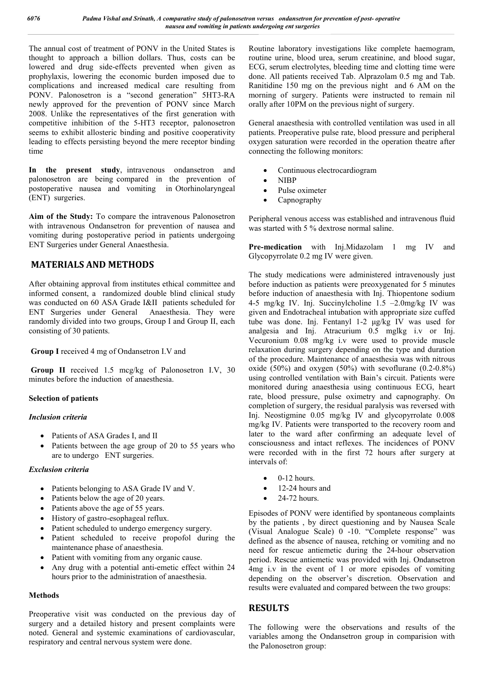The annual cost of treatment of PONV in the United States is thought to approach a billion dollars. Thus, costs can be lowered and drug side-effects prevented when given as prophylaxis, lowering the economic burden imposed due to complications and increased medical care resulting from PONV. Palonosetron is a "second generation" 5HT3-RA newly approved for the prevention of PONV since March 2008. Unlike the representatives of the first generation with competitive inhibition of the 5-HT3 receptor, palonosetron seems to exhibit allosteric binding and positive cooperativity leading to effects persisting beyond the mere receptor binding time

**In the present study**, intravenous ondansetron and palonosetron are being compared in the prevention of postoperative nausea and vomiting in Otorhinolaryngeal (ENT) surgeries.

**Aim of the Study:** To compare the intravenous Palonosetron with intravenous Ondansetron for prevention of nausea and vomiting during postoperative period in patients undergoing ENT Surgeries under General Anaesthesia.

# **MATERIALS AND METHODS**

After obtaining approval from institutes ethical committee and informed consent, a randomized double blind clinical study was conducted on 60 ASA Grade I&II patients scheduled for ENT Surgeries under General Anaesthesia. They were randomly divided into two groups, Group I and Group II, each consisting of 30 patients.

**Group I** received 4 mg of Ondansetron I.V and

**Group II** received 1.5 mcg/kg of Palonosetron I.V, 30 minutes before the induction of anaesthesia.

## **Selection of patients**

#### *Inclusion criteria*

- Patients of ASA Grades I, and II
- Patients between the age group of 20 to 55 years who are to undergo ENT surgeries.

#### *Exclusion criteria*

- Patients belonging to ASA Grade IV and V.
- Patients below the age of 20 years.
- Patients above the age of 55 years.
- History of gastro-esophageal reflux.
- Patient scheduled to undergo emergency surgery.
- Patient scheduled to receive propofol during the maintenance phase of anaesthesia.
- Patient with vomiting from any organic cause.
- Any drug with a potential anti-emetic effect within 24 hours prior to the administration of anaesthesia.

## **Methods**

Preoperative visit was conducted on the previous day of surgery and a detailed history and present complaints were noted. General and systemic examinations of cardiovascular, respiratory and central nervous system were done.

Routine laboratory investigations like complete haemogram, routine urine, blood urea, serum creatinine, and blood sugar, ECG, serum electrolytes, bleeding time and clotting time were done. All patients received Tab. Alprazolam 0.5 mg and Tab. Ranitidine 150 mg on the previous night and 6 AM on the morning of surgery. Patients were instructed to remain nil orally after 10PM on the previous night of surgery.

General anaesthesia with controlled ventilation was used in all patients. Preoperative pulse rate, blood pressure and peripheral oxygen saturation were recorded in the operation theatre after connecting the following monitors:

- Continuous electrocardiogram
- NIBP
- Pulse oximeter
- Capnography

Peripheral venous access was established and intravenous fluid was started with 5 % dextrose normal saline.

**Pre-medication** with Inj.Midazolam 1 mg IV and Glycopyrrolate 0.2 mg IV were given.

The study medications were administered intravenously just before induction as patients were preoxygenated for 5 minutes before induction of anaesthesia with Inj. Thiopentone sodium 4-5 mg/kg IV. Inj. Succinylcholine 1.5 –2.0mg/kg IV was given and Endotracheal intubation with appropriate size cuffed tube was done. Inj. Fentanyl 1-2 μg/kg IV was used for analgesia and Inj. Atracurium 0.5 mglkg i.v or Inj. Vecuronium 0.08 mg/kg i.v were used to provide muscle relaxation during surgery depending on the type and duration of the procedure. Maintenance of anaesthesia was with nitrous oxide (50%) and oxygen (50%) with sevoflurane (0.2-0.8%) using controlled ventilation with Bain's circuit. Patients were monitored during anaesthesia using continuous ECG, heart rate, blood pressure, pulse oximetry and capnography. On completion of surgery, the residual paralysis was reversed with Inj. Neostigmine 0.05 mg/kg IV and glycopyrrolate 0.008 mg/kg IV. Patients were transported to the recovery room and later to the ward after confirming an adequate level of consciousness and intact reflexes. The incidences of PONV were recorded with in the first 72 hours after surgery at intervals of:

- 0-12 hours.
- 12-24 hours and
- 24-72 hours.

Episodes of PONV were identified by spontaneous complaints by the patients , by direct questioning and by Nausea Scale (Visual Analogue Scale) 0 -10. "Complete response" was defined as the absence of nausea, retching or vomiting and no need for rescue antiemetic during the 24-hour observation period. Rescue antiemetic was provided with Inj. Ondansetron 4mg i.v in the event of 1 or more episodes of vomiting depending on the observer's discretion. Observation and results were evaluated and compared between the two groups:

# **RESULTS**

The following were the observations and results of the variables among the Ondansetron group in comparision with the Palonosetron group: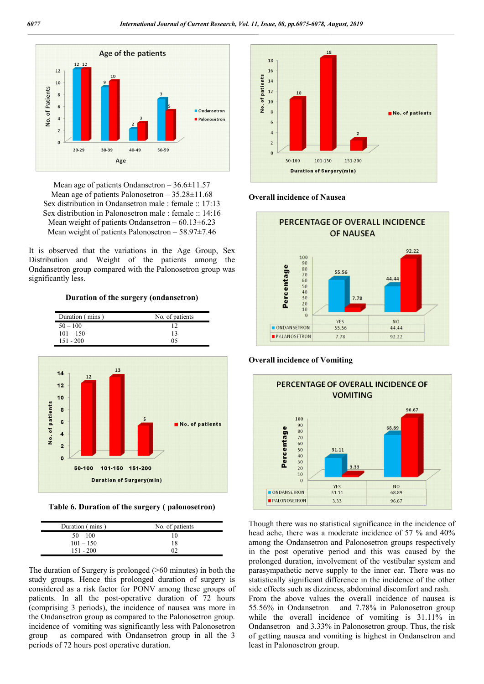

Mean age of patients Ondansetron – 36.6±11.57 Mean age of patients Palonosetron – 35.28±11.68 Sex distribution in Ondansetron male : female :: 17:13 Sex distribution in Palonosetron male : female :: 14:16 Mean weight of patients Ondansetron  $-60.13\pm6.23$ Mean weight of patients Palonosetron – 58.97±7.46

It is observed that the variations in the Age Group, Sex Distribution and Weight of the patients among the Ondansetron group compared with the Palonosetron group was significantly less.

#### **Duration of the surgery (ondansetron)**





**Table 6. Duration of the surgery ( palonosetron)**

| Duration (mins) | No. of patients |
|-----------------|-----------------|
| $50 - 100$      | 10              |
| $101 - 150$     | 18              |
| $151 - 200$     | ∩ว              |

The duration of Surgery is prolonged (>60 minutes) in both the study groups. Hence this prolonged duration of surgery is considered as a risk factor for PONV among these groups of patients. In all the post-operative duration of 72 hours (comprising 3 periods), the incidence of nausea was more in the Ondansetron group as compared to the Palonosetron group. incidence of vomiting was significantly less with Palonosetron group as compared with Ondansetron group in all the 3 periods of 72 hours post operative duration.



#### **Overall incidence of Nausea**



**Overall incidence of Vomiting**



Though there was no statistical significance in the incidence of head ache, there was a moderate incidence of 57 % and 40% among the Ondansetron and Palonosetron groups respectively in the post operative period and this was caused by the prolonged duration, involvement of the vestibular system and parasympathetic nerve supply to the inner ear. There was no statistically significant difference in the incidence of the other side effects such as dizziness, abdominal discomfort and rash. From the above values the overall incidence of nausea is 55.56% in Ondansetron and 7.78% in Palonosetron group while the overall incidence of vomiting is 31.11% in Ondansetron and 3.33% in Palonosetron group. Thus, the risk of getting nausea and vomiting is highest in Ondansetron and least in Palonosetron group.